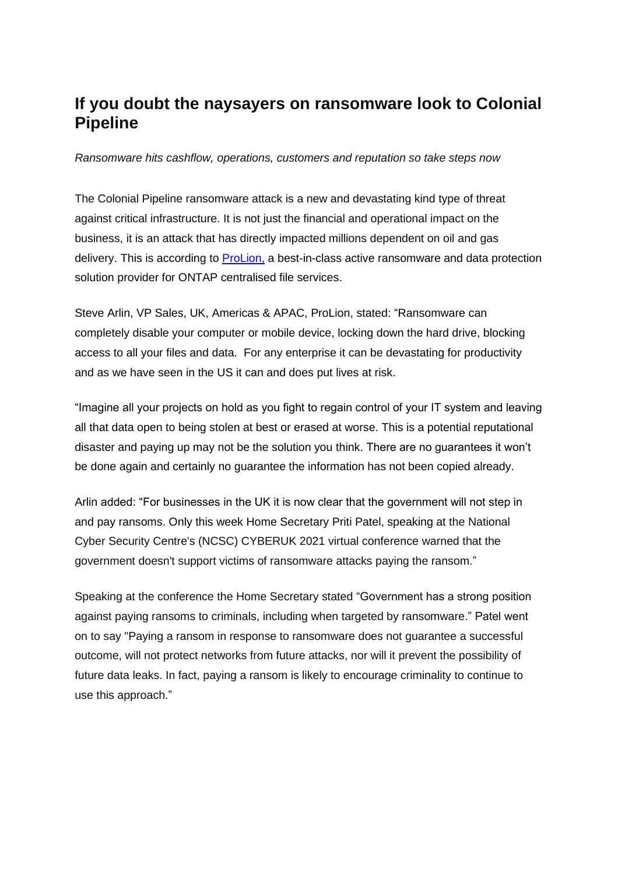## **If you doubt the naysayers on ransomware look to Colonial Pipeline**

*Ransomware hits cashflow, operations, customers and reputation so take steps now*

The Colonial Pipeline ransomware attack is a new and devastating kind type of threat against critical infrastructure. It is not just the financial and operational impact on the business, it is an attack that has directly impacted millions dependent on oil and gas delivery. This is according to **ProLion**, a best-in-class active ransomware and data protection solution provider for ONTAP centralised file services.

Steve Arlin, VP Sales, UK, Americas & APAC, ProLion, stated: "Ransomware can completely disable your computer or mobile device, locking down the hard drive, blocking access to all your files and data. For any enterprise it can be devastating for productivity and as we have seen in the US it can and does put lives at risk.

"Imagine all your projects on hold as you fight to regain control of your IT system and leaving all that data open to being stolen at best or erased at worse. This is a potential reputational disaster and paying up may not be the solution you think. There are no guarantees it won't be done again and certainly no guarantee the information has not been copied already.

Arlin added: "For businesses in the UK it is now clear that the government will not step in and pay ransoms. Only this week Home Secretary Priti Patel, speaking at the National Cyber Security Centre's (NCSC) CYBERUK 2021 virtual conference warned that the government doesn't support victims of ransomware attacks paying the ransom."

Speaking at the conference the Home Secretary stated "Government has a strong position against paying ransoms to criminals, including when targeted by ransomware." Patel went on to say "Paying a ransom in response to ransomware does not guarantee a successful outcome, will not protect networks from future attacks, nor will it prevent the possibility of future data leaks. In fact, paying a ransom is likely to encourage criminality to continue to use this approach."